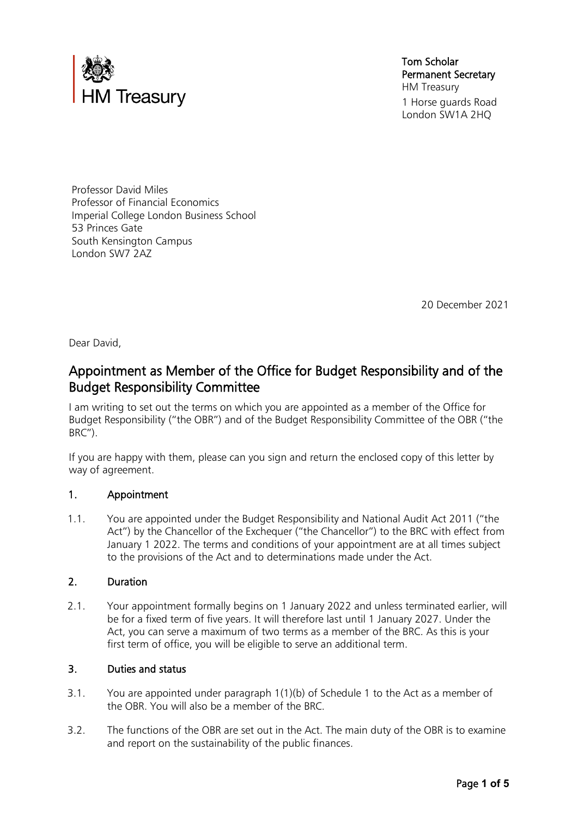

Tom Scholar Permanent Secretary HM Treasury 1 Horse guards Road London SW1A 2HQ

Professor David Miles Professor of Financial Economics Imperial College London Business School 53 Princes Gate South Kensington Campus London SW7 2AZ

20 December 2021

Dear David,

# Appointment as Member of the Office for Budget Responsibility and of the Budget Responsibility Committee

 I am writing to set out the terms on which you are appointed as a member of the Office for Budget Responsibility ("the OBR") and of the Budget Responsibility Committee of the OBR ("the BRC").

 If you are happy with them, please can you sign and return the enclosed copy of this letter by way of agreement.

#### 1. Appointment

 1.1. You are appointed under the Budget Responsibility and National Audit Act 2011 ("the Act") by the Chancellor of the Exchequer ("the Chancellor") to the BRC with effect from January 1 2022. The terms and conditions of your appointment are at all times subject to the provisions of the Act and to determinations made under the Act.

#### 2. Duration

 be for a fixed term of five years. It will therefore last until 1 January 2027. Under the 2.1. Your appointment formally begins on 1 January 2022 and unless terminated earlier, will Act, you can serve a maximum of two terms as a member of the BRC. As this is your first term of office, you will be eligible to serve an additional term.

#### 3. Duties and status

- 3.1. You are appointed under paragraph 1(1)(b) of Schedule 1 to the Act as a member of the OBR. You will also be a member of the BRC.
- 3.2. The functions of the OBR are set out in the Act. The main duty of the OBR is to examine and report on the sustainability of the public finances.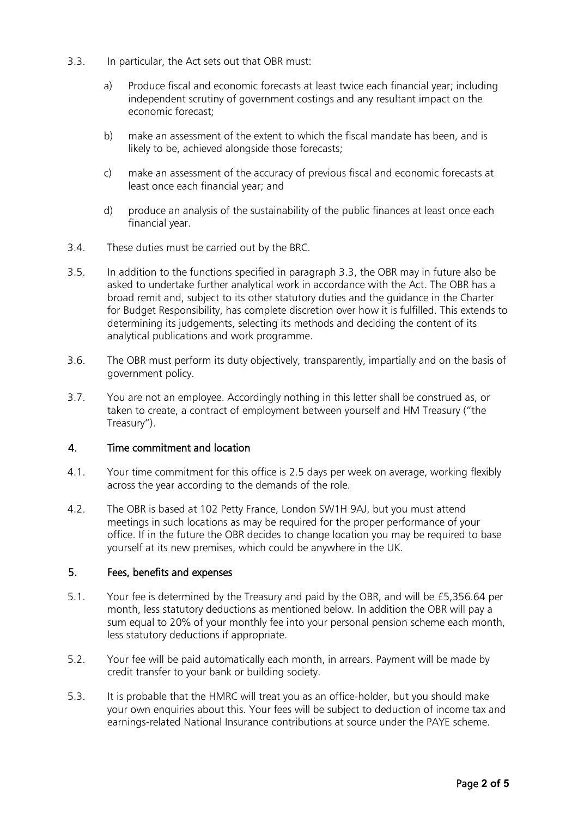- 3.3. In particular, the Act sets out that OBR must:
	- a) Produce fiscal and economic forecasts at least twice each financial year; including independent scrutiny of government costings and any resultant impact on the economic forecast;
	- b) make an assessment of the extent to which the fiscal mandate has been, and is likely to be, achieved alongside those forecasts;
	- c) make an assessment of the accuracy of previous fiscal and economic forecasts at least once each financial year; and
	- d) produce an analysis of the sustainability of the public finances at least once each financial year.
- 3.4. These duties must be carried out by the BRC.
- broad remit and, subject to its other statutory duties and the guidance in the Charter for Budget Responsibility, has complete discretion over how it is fulfilled. This extends to 3.5. In addition to the functions specified in paragraph 3.3, the OBR may in future also be asked to undertake further analytical work in accordance with the Act. The OBR has a determining its judgements, selecting its methods and deciding the content of its analytical publications and work programme.
- 3.6. The OBR must perform its duty objectively, transparently, impartially and on the basis of government policy.
- 3.7. You are not an employee. Accordingly nothing in this letter shall be construed as, or taken to create, a contract of employment between yourself and HM Treasury ("the Treasury").

#### 4. Time commitment and location

- 4.1. Your time commitment for this office is 2.5 days per week on average, working flexibly across the year according to the demands of the role.
- office. If in the future the OBR decides to change location you may be required to base 4.2. The OBR is based at 102 Petty France, London SW1H 9AJ, but you must attend meetings in such locations as may be required for the proper performance of your yourself at its new premises, which could be anywhere in the UK.

## 5. Fees, benefits and expenses

- month, less statutory deductions as mentioned below. In addition the OBR will pay a 5.1. Your fee is determined by the Treasury and paid by the OBR, and will be [£5,356.64](https://5,356.64) per sum equal to 20% of your monthly fee into your personal pension scheme each month, less statutory deductions if appropriate.
- 5.2. Your fee will be paid automatically each month, in arrears. Payment will be made by credit transfer to your bank or building society.
- 5.3. It is probable that the HMRC will treat you as an office-holder, but you should make your own enquiries about this. Your fees will be subject to deduction of income tax and earnings-related National Insurance contributions at source under the PAYE scheme.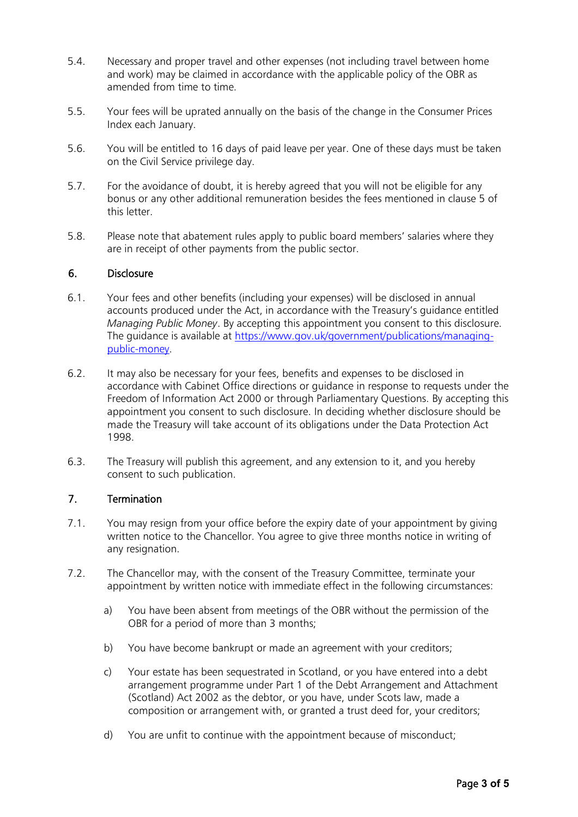- and work) may be claimed in accordance with the applicable policy of the OBR as 5.4. Necessary and proper travel and other expenses (not including travel between home amended from time to time.
- 5.5. Your fees will be uprated annually on the basis of the change in the Consumer Prices Index each January.
- 5.6. You will be entitled to 16 days of paid leave per year. One of these days must be taken on the Civil Service privilege day.
- 5.7. For the avoidance of doubt, it is hereby agreed that you will not be eligible for any bonus or any other additional remuneration besides the fees mentioned in clause 5 of this letter.
- 5.8. Please note that abatement rules apply to public board members' salaries where they are in receipt of other payments from the public sector.

## 6. Disclosure

- 6.1. Your fees and other benefits (including your expenses) will be disclosed in annual accounts produced under the Act, in accordance with the Treasury's guidance entitled *Managing Public Money*. By accepting this appointment you consent to this disclosure. The guidance is available at [https://www.gov.uk/government/publications/managing](https://www.gov.uk/government/publications/managing-public-money)[public-money.](https://www.gov.uk/government/publications/managing-public-money)
- 6.2. It may also be necessary for your fees, benefits and expenses to be disclosed in appointment you consent to such disclosure. In deciding whether disclosure should be accordance with Cabinet Office directions or guidance in response to requests under the Freedom of Information Act 2000 or through Parliamentary Questions. By accepting this made the Treasury will take account of its obligations under the Data Protection Act 1998.
- 6.3. The Treasury will publish this agreement, and any extension to it, and you hereby consent to such publication.

#### 7. Termination

- 7.1. You may resign from your office before the expiry date of your appointment by giving written notice to the Chancellor. You agree to give three months notice in writing of any resignation.
- 7.2. The Chancellor may, with the consent of the Treasury Committee, terminate your appointment by written notice with immediate effect in the following circumstances:
	- OBR for a period of more than 3 months; a) You have been absent from meetings of the OBR without the permission of the
	- b) You have become bankrupt or made an agreement with your creditors;
	- arrangement programme under Part 1 of the Debt Arrangement and Attachment c) Your estate has been sequestrated in Scotland, or you have entered into a debt (Scotland) Act 2002 as the debtor, or you have, under Scots law, made a composition or arrangement with, or granted a trust deed for, your creditors;
	- d) You are unfit to continue with the appointment because of misconduct;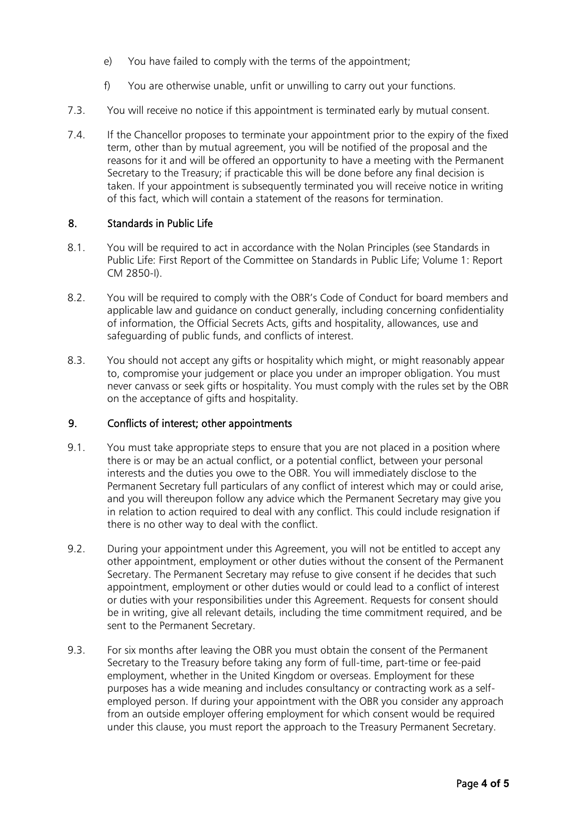- e) You have failed to comply with the terms of the appointment;
- f) You are otherwise unable, unfit or unwilling to carry out your functions.
- 7.3. You will receive no notice if this appointment is terminated early by mutual consent.
- 7.4. If the Chancellor proposes to terminate your appointment prior to the expiry of the fixed term, other than by mutual agreement, you will be notified of the proposal and the reasons for it and will be offered an opportunity to have a meeting with the Permanent taken. If your appointment is subsequently terminated you will receive notice in writing of this fact, which will contain a statement of the reasons for termination. Secretary to the Treasury; if practicable this will be done before any final decision is

## 8. Standards in Public Life

- Public Life: First Report of the Committee on Standards in Public Life; Volume 1: Report 8.1. You will be required to act in accordance with the Nolan Principles (see Standards in CM 2850-I).
- 8.2. You will be required to comply with the OBR's Code of Conduct for board members and applicable law and guidance on conduct generally, including concerning confidentiality of information, the Official Secrets Acts, gifts and hospitality, allowances, use and safeguarding of public funds, and conflicts of interest.
- to, compromise your judgement or place you under an improper obligation. You must never canvass or seek gifts or hospitality. You must comply with the rules set by the OBR 8.3. You should not accept any gifts or hospitality which might, or might reasonably appear on the acceptance of gifts and hospitality.

#### 9. Conflicts of interest; other appointments

- and you will thereupon follow any advice which the Permanent Secretary may give you there is no other way to deal with the conflict. 9.1. You must take appropriate steps to ensure that you are not placed in a position where there is or may be an actual conflict, or a potential conflict, between your personal interests and the duties you owe to the OBR. You will immediately disclose to the Permanent Secretary full particulars of any conflict of interest which may or could arise, in relation to action required to deal with any conflict. This could include resignation if
- 9.2. During your appointment under this Agreement, you will not be entitled to accept any other appointment, employment or other duties without the consent of the Permanent Secretary. The Permanent Secretary may refuse to give consent if he decides that such appointment, employment or other duties would or could lead to a conflict of interest or duties with your responsibilities under this Agreement. Requests for consent should be in writing, give all relevant details, including the time commitment required, and be sent to the Permanent Secretary.
- 9.3. For six months after leaving the OBR you must obtain the consent of the Permanent purposes has a wide meaning and includes consultancy or contracting work as a self- employed person. If during your appointment with the OBR you consider any approach Secretary to the Treasury before taking any form of full-time, part-time or fee-paid employment, whether in the United Kingdom or overseas. Employment for these from an outside employer offering employment for which consent would be required under this clause, you must report the approach to the Treasury Permanent Secretary.